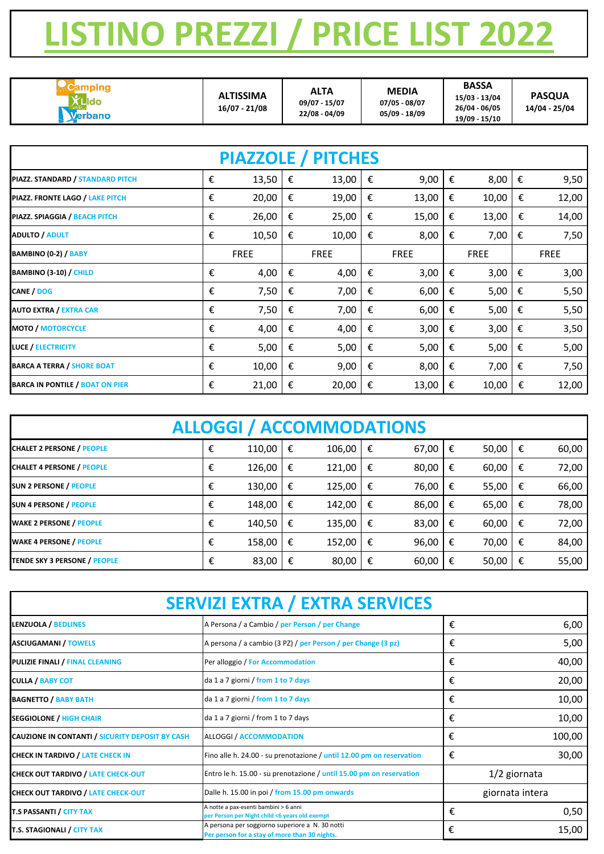| 19/09 - 15/10 | Verbano | <b>ALTISSIMA</b><br>$16/07 - 21/08$ | <b>ALTA</b><br>09/07 - 15/07<br>22/08 - 04/09 | <b>MEDIA</b><br>07/05 - 08/07<br>05/09 - 18/09 | <b>BASSA</b><br>15/03 - 13/04<br>26/04 - 06/05 | <b>PASQUA</b><br>14/04 - 25/04 |
|---------------|---------|-------------------------------------|-----------------------------------------------|------------------------------------------------|------------------------------------------------|--------------------------------|
|---------------|---------|-------------------------------------|-----------------------------------------------|------------------------------------------------|------------------------------------------------|--------------------------------|

| <b>PIAZZOLE / PITCHES</b>              |   |             |   |             |   |             |   |             |   |             |
|----------------------------------------|---|-------------|---|-------------|---|-------------|---|-------------|---|-------------|
| PIAZZ. STANDARD / STANDARD PITCH       | € | 13,50       | € | 13,00       | € | 9,00        | € | 8,00        | € | 9,50        |
| PIAZZ. FRONTE LAGO / LAKE PITCH        | € | 20,00       | € | 19,00       | € | 13,00       | € | 10,00       | € | 12,00       |
| PIAZZ. SPIAGGIA / BEACH PITCH          | € | 26,00       | € | 25,00       | € | 15,00       | € | 13,00       | € | 14,00       |
| <b>ADULTO / ADULT</b>                  | € | 10,50       | € | 10,00       | € | 8,00        | € | 7,00        | € | 7,50        |
| BAMBINO (0-2) / BABY                   |   | <b>FREE</b> |   | <b>FREE</b> |   | <b>FREE</b> |   | <b>FREE</b> |   | <b>FREE</b> |
| <b>BAMBINO (3-10) / CHILD</b>          | € | 4,00        | € | 4,00        | € | 3,00        | € | 3,00        | € | 3,00        |
| CANE / DOG                             | € | 7,50        | € | 7,00        | € | 6,00        | € | 5,00        | € | 5,50        |
| <b>AUTO EXTRA / EXTRA CAR</b>          | € | 7,50        | € | 7,00        | € | 6,00        | € | 5,00        | € | 5,50        |
| <b>MOTO / MOTORCYCLE</b>               | € | 4,00        | € | 4,00        | € | 3,00        | € | 3,00        | € | 3,50        |
| <b>LUCE / ELECTRICITY</b>              | € | 5,00        | € | 5,00        | € | 5,00        | € | 5,00        | € | 5,00        |
| <b>BARCA A TERRA / SHORE BOAT</b>      | € | 10,00       | € | 9,00        | € | 8,00        | € | 7,00        | € | 7,50        |
| <b>BARCA IN PONTILE / BOAT ON PIER</b> | € | 21,00       | € | 20,00       | € | 13,00       | € | 10,00       | € | 12,00       |

| <b>ALLOGGI / ACCOMMODATIONS</b>     |   |        |   |        |   |       |   |       |   |       |
|-------------------------------------|---|--------|---|--------|---|-------|---|-------|---|-------|
| <b>CHALET 2 PERSONE / PEOPLE</b>    | € | 110,00 | € | 106,00 | € | 67,00 | € | 50,00 | € | 60,00 |
| <b>CHALET 4 PERSONE / PEOPLE</b>    | € | 126,00 | € | 121,00 | € | 80,00 | € | 60,00 | € | 72,00 |
| <b>SUN 2 PERSONE / PEOPLE</b>       | € | 130,00 | € | 125,00 | € | 76,00 | € | 55,00 | € | 66,00 |
| <b>SUN 4 PERSONE / PEOPLE</b>       | € | 148,00 | € | 142,00 | € | 86,00 | € | 65,00 | € | 78,00 |
| <b>WAKE 2 PERSONE / PEOPLE</b>      | € | 140,50 | € | 135,00 | € | 83,00 | € | 60,00 | € | 72,00 |
| <b>WAKE 4 PERSONE / PEOPLE</b>      | € | 158,00 | € | 152,00 | € | 96,00 | € | 70,00 | € | 84,00 |
| <b>TENDE SKY 3 PERSONE / PEOPLE</b> | € | 83,00  | € | 80,00  | € | 60,00 | € | 50,00 | € | 55,00 |

## **LISTINO PREZZI / PRICE LIST 2022**

| <b>SERVIZI EXTRA / EXTRA SERVICES</b>           |                                                                                                  |   |                 |  |  |  |  |
|-------------------------------------------------|--------------------------------------------------------------------------------------------------|---|-----------------|--|--|--|--|
| LENZUOLA / BEDLINES                             | A Persona / a Cambio / per Person / per Change                                                   | € | 6,00            |  |  |  |  |
| <b>ASCIUGAMANI / TOWELS</b>                     | A persona / a cambio (3 PZ) / per Person / per Change (3 pz)                                     | € | 5,00            |  |  |  |  |
| <b>PULIZIE FINALI / FINAL CLEANING</b>          | Per alloggio / For Accommodation                                                                 | € | 40,00           |  |  |  |  |
| <b>CULLA / BABY COT</b>                         | da 1 a 7 giorni / from 1 to 7 days                                                               | € | 20,00           |  |  |  |  |
| <b>BAGNETTO / BABY BATH</b>                     | da 1 a 7 giorni / from 1 to 7 days                                                               | € | 10,00           |  |  |  |  |
| <b>SEGGIOLONE / HIGH CHAIR</b>                  | da 1 a 7 giorni / from 1 to 7 days                                                               | € | 10,00           |  |  |  |  |
| CAUZIONE IN CONTANTI / SICURITY DEPOSIT BY CASH | <b>ALLOGGI / ACCOMMODATION</b>                                                                   | € | 100,00          |  |  |  |  |
| <b>CHECK IN TARDIVO / LATE CHECK IN</b>         | Fino alle h. 24.00 - su prenotazione / until 12.00 pm on reservation                             | € | 30,00           |  |  |  |  |
| <b>CHECK OUT TARDIVO / LATE CHECK-OUT</b>       | Entro le h. 15.00 - su prenotazione / until 15.00 pm on reservation                              |   | 1/2 giornata    |  |  |  |  |
| <b>CHECK OUT TARDIVO / LATE CHECK-OUT</b>       | Dalle h. 15.00 in poi / from 15.00 pm onwards                                                    |   | giornata intera |  |  |  |  |
| <b>T.S PASSANTI / CITY TAX</b>                  | A notte a pax-esenti bambini > 6 anni<br>per Person per Night child <6 years old exempt          | € | 0,50            |  |  |  |  |
| <b>T.S. STAGIONALI / CITY TAX</b>               | A persona per soggiorno superiore a N. 30 notti<br>Per person for a stay of more than 30 nights. | € | 15,00           |  |  |  |  |